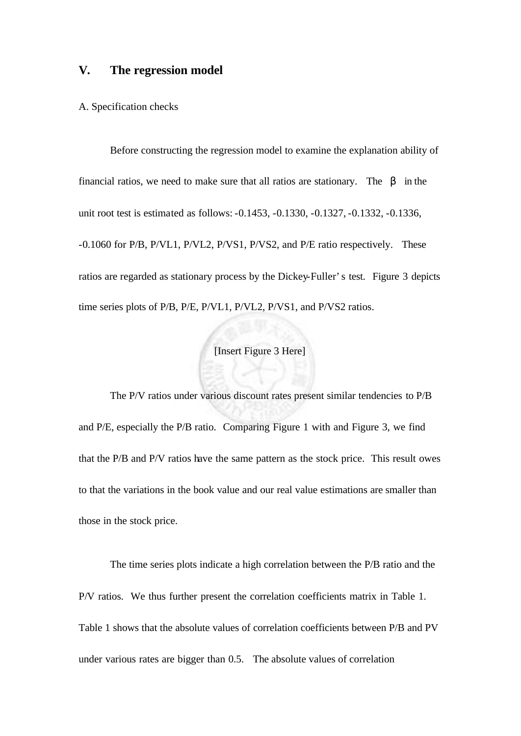# **V. The regression model**

### A. Specification checks

Before constructing the regression model to examine the explanation ability of financial ratios, we need to make sure that all ratios are stationary. The *b* in the unit root test is estimated as follows: -0.1453, -0.1330, -0.1327, -0.1332, -0.1336, -0.1060 for P/B, P/VL1, P/VL2, P/VS1, P/VS2, and P/E ratio respectively. These ratios are regarded as stationary process by the Dickey-Fuller's test. Figure 3 depicts time series plots of P/B, P/E, P/VL1, P/VL2, P/VS1, and P/VS2 ratios.

# [Insert Figure 3 Here]

The P/V ratios under various discount rates present similar tendencies to P/B and P/E, especially the P/B ratio. Comparing Figure 1 with and Figure 3, we find that the P/B and P/V ratios have the same pattern as the stock price. This result owes to that the variations in the book value and our real value estimations are smaller than those in the stock price.

The time series plots indicate a high correlation between the P/B ratio and the P/V ratios. We thus further present the correlation coefficients matrix in Table 1. Table 1 shows that the absolute values of correlation coefficients between P/B and PV under various rates are bigger than 0.5. The absolute values of correlation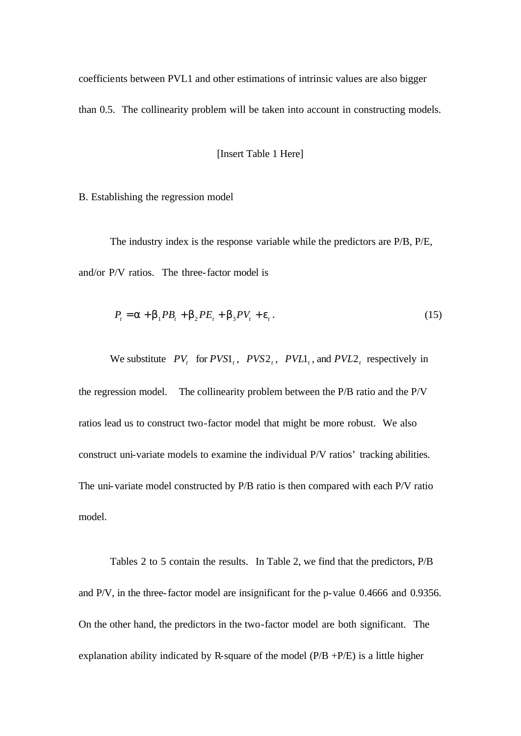coefficients between PVL1 and other estimations of intrinsic values are also bigger than 0.5. The collinearity problem will be taken into account in constructing models.

[Insert Table 1 Here]

B. Establishing the regression model

The industry index is the response variable while the predictors are P/B, P/E, and/or P/V ratios. The three-factor model is

$$
P_t = \mathbf{a} + \mathbf{b}_1 P B_t + \mathbf{b}_2 P E_t + \mathbf{b}_3 P V_t + \mathbf{e}_t.
$$
 (15)

We substitute  $PV_t$  for  $PVS1_t$ ,  $PVS2_t$ ,  $PVL1_t$ , and  $PVL2_t$  respectively in the regression model. The collinearity problem between the P/B ratio and the P/V ratios lead us to construct two-factor model that might be more robust. We also construct uni-variate models to examine the individual P/V ratios' tracking abilities. The uni-variate model constructed by P/B ratio is then compared with each P/V ratio model.

Tables 2 to 5 contain the results. In Table 2, we find that the predictors, P/B and P/V, in the three-factor model are insignificant for the p-value 0.4666 and 0.9356. On the other hand, the predictors in the two-factor model are both significant. The explanation ability indicated by R-square of the model  $(P/B + P/E)$  is a little higher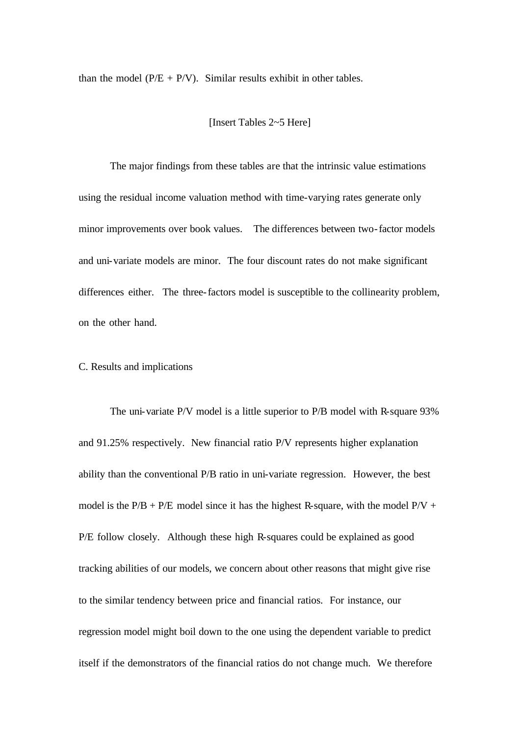than the model ( $P/E + P/V$ ). Similar results exhibit in other tables.

[Insert Tables 2~5 Here]

The major findings from these tables are that the intrinsic value estimations using the residual income valuation method with time-varying rates generate only minor improvements over book values. The differences between two-factor models and uni-variate models are minor. The four discount rates do not make significant differences either. The three-factors model is susceptible to the collinearity problem, on the other hand.

## C. Results and implications

The uni-variate P/V model is a little superior to P/B model with R-square 93% and 91.25% respectively. New financial ratio P/V represents higher explanation ability than the conventional P/B ratio in uni-variate regression. However, the best model is the  $P/B + P/E$  model since it has the highest R-square, with the model  $P/V +$ P/E follow closely. Although these high R-squares could be explained as good tracking abilities of our models, we concern about other reasons that might give rise to the similar tendency between price and financial ratios. For instance, our regression model might boil down to the one using the dependent variable to predict itself if the demonstrators of the financial ratios do not change much. We therefore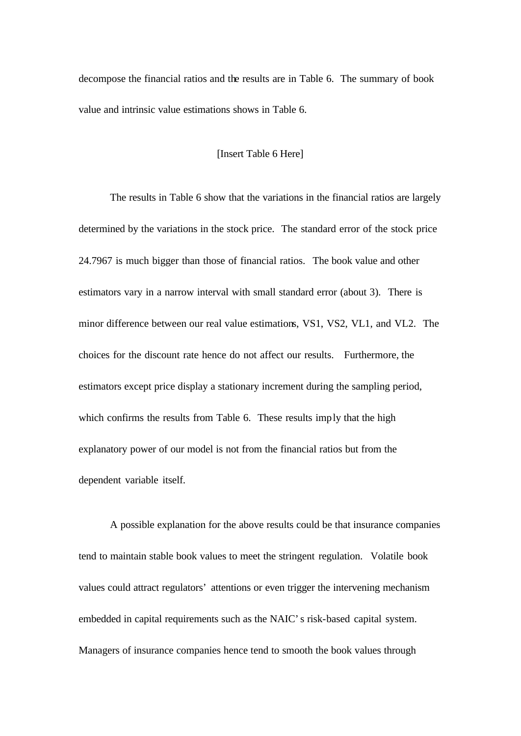decompose the financial ratios and the results are in Table 6. The summary of book value and intrinsic value estimations shows in Table 6.

### [Insert Table 6 Here]

The results in Table 6 show that the variations in the financial ratios are largely determined by the variations in the stock price. The standard error of the stock price 24.7967 is much bigger than those of financial ratios. The book value and other estimators vary in a narrow interval with small standard error (about 3). There is minor difference between our real value estimations, VS1, VS2, VL1, and VL2. The choices for the discount rate hence do not affect our results. Furthermore, the estimators except price display a stationary increment during the sampling period, which confirms the results from Table 6. These results imply that the high explanatory power of our model is not from the financial ratios but from the dependent variable itself.

A possible explanation for the above results could be that insurance companies tend to maintain stable book values to meet the stringent regulation. Volatile book values could attract regulators' attentions or even trigger the intervening mechanism embedded in capital requirements such as the NAIC's risk-based capital system. Managers of insurance companies hence tend to smooth the book values through